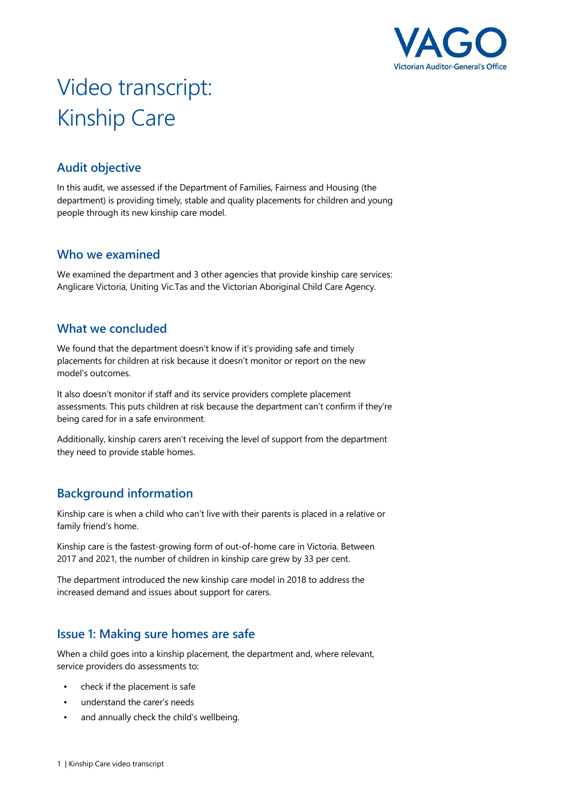

# Video transcript: Kinship Care

## **Audit objective**

In this audit, we assessed if the Department of Families, Fairness and Housing (the department) is providing timely, stable and quality placements for children and young people through its new kinship care model.

## **Who we examined**

We examined the department and 3 other agencies that provide kinship care services: Anglicare Victoria, Uniting Vic.Tas and the Victorian Aboriginal Child Care Agency.

## **What we concluded**

We found that the department doesn't know if it's providing safe and timely placements for children at risk because it doesn't monitor or report on the new model's outcomes.

It also doesn't monitor if staff and its service providers complete placement assessments. This puts children at risk because the department can't confirm if they're being cared for in a safe environment.

Additionally, kinship carers aren't receiving the level of support from the department they need to provide stable homes.

## **Background information**

Kinship care is when a child who can't live with their parents is placed in a relative or family friend's home.

Kinship care is the fastest-growing form of out-of-home care in Victoria. Between 2017 and 2021, the number of children in kinship care grew by 33 per cent.

The department introduced the new kinship care model in 2018 to address the increased demand and issues about support for carers.

## **Issue 1: Making sure homes are safe**

When a child goes into a kinship placement, the department and, where relevant, service providers do assessments to:

- check if the placement is safe
- understand the carer's needs
- and annually check the child's wellbeing.